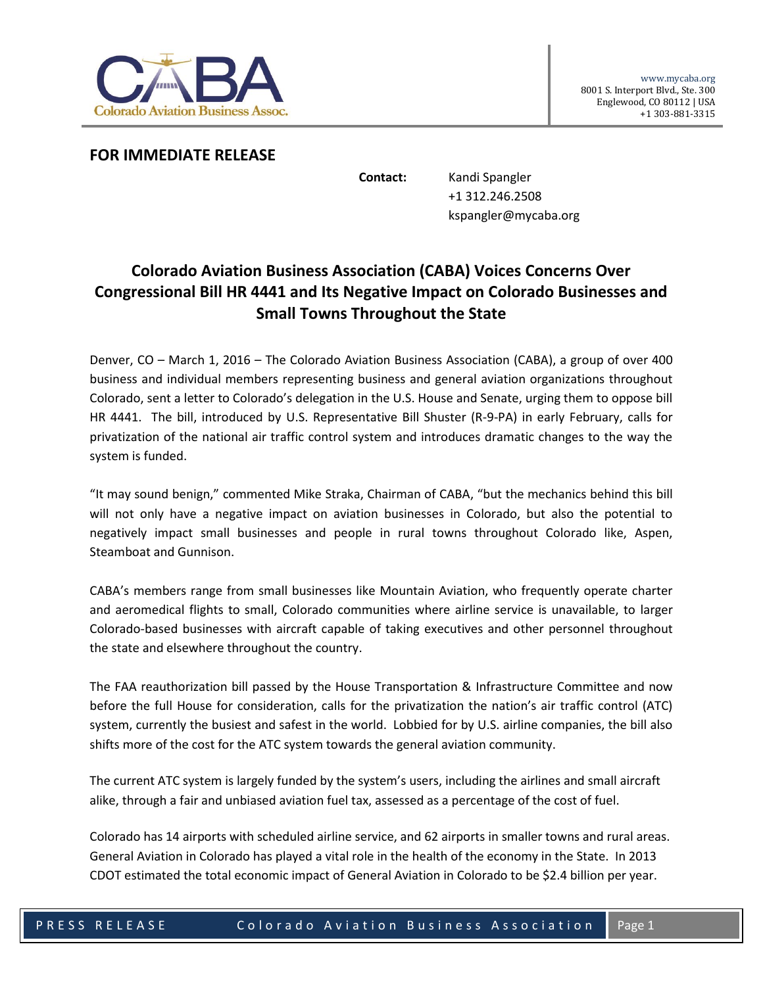

## **FOR IMMEDIATE RELEASE**

**Contact:** Kandi Spangler +1 312.246.2508 kspangler@mycaba.org

## **Colorado Aviation Business Association (CABA) Voices Concerns Over Congressional Bill HR 4441 and Its Negative Impact on Colorado Businesses and Small Towns Throughout the State**

Denver, CO – March 1, 2016 – The Colorado Aviation Business Association (CABA), a group of over 400 business and individual members representing business and general aviation organizations throughout Colorado, sent a letter to Colorado's delegation in the U.S. House and Senate, urging them to oppose bill HR 4441. The bill, introduced by U.S. Representative Bill Shuster (R-9-PA) in early February, calls for privatization of the national air traffic control system and introduces dramatic changes to the way the system is funded.

"It may sound benign," commented Mike Straka, Chairman of CABA, "but the mechanics behind this bill will not only have a negative impact on aviation businesses in Colorado, but also the potential to negatively impact small businesses and people in rural towns throughout Colorado like, Aspen, Steamboat and Gunnison.

CABA's members range from small businesses like Mountain Aviation, who frequently operate charter and aeromedical flights to small, Colorado communities where airline service is unavailable, to larger Colorado-based businesses with aircraft capable of taking executives and other personnel throughout the state and elsewhere throughout the country.

The FAA reauthorization bill passed by the House Transportation & Infrastructure Committee and now before the full House for consideration, calls for the privatization the nation's air traffic control (ATC) system, currently the busiest and safest in the world. Lobbied for by U.S. airline companies, the bill also shifts more of the cost for the ATC system towards the general aviation community.

The current ATC system is largely funded by the system's users, including the airlines and small aircraft alike, through a fair and unbiased aviation fuel tax, assessed as a percentage of the cost of fuel.

Colorado has 14 airports with scheduled airline service, and 62 airports in smaller towns and rural areas. General Aviation in Colorado has played a vital role in the health of the economy in the State. In 2013 CDOT estimated the total economic impact of General Aviation in Colorado to be \$2.4 billion per year.